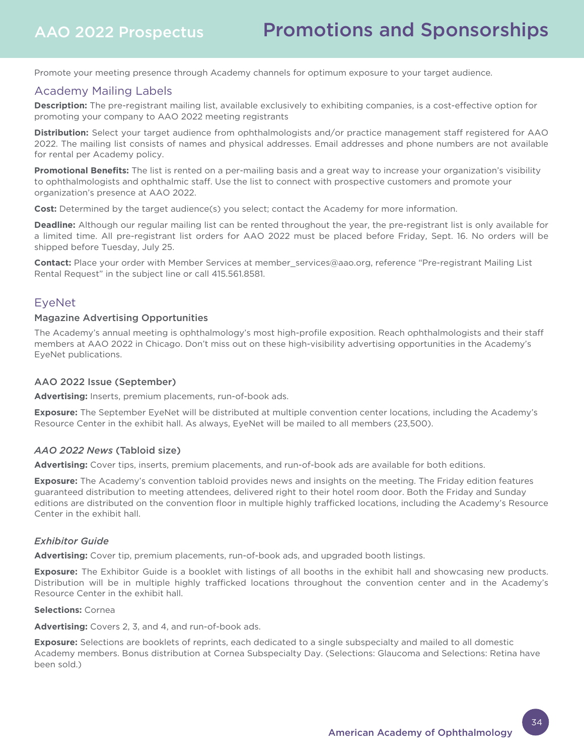Promote your meeting presence through Academy channels for optimum exposure to your target audience.

## Academy Mailing Labels

**Description:** The pre-registrant mailing list, available exclusively to exhibiting companies, is a cost-effective option for promoting your company to AAO 2022 meeting registrants

**Distribution:** Select your target audience from ophthalmologists and/or practice management staff registered for AAO 2022. The mailing list consists of names and physical addresses. Email addresses and phone numbers are not available for rental per Academy policy.

**Promotional Benefits:** The list is rented on a per-mailing basis and a great way to increase your organization's visibility to ophthalmologists and ophthalmic staff. Use the list to connect with prospective customers and promote your organization's presence at AAO 2022.

**Cost:** Determined by the target audience(s) you select; contact the Academy for more information.

**Deadline:** Although our regular mailing list can be rented throughout the year, the pre-registrant list is only available for a limited time. All pre-registrant list orders for AAO 2022 must be placed before Friday, Sept. 16. No orders will be shipped before Tuesday, July 25.

**Contact:** Place your order with Member Services at member\_services@aao.org, reference "Pre-registrant Mailing List Rental Request" in the subject line or call 415.561.8581.

## EyeNet

#### Magazine Advertising Opportunities

The Academy's annual meeting is ophthalmology's most high-profile exposition. Reach ophthalmologists and their staff members at AAO 2022 in Chicago. Don't miss out on these high-visibility advertising opportunities in the Academy's EyeNet publications.

#### AAO 2022 Issue (September)

**Advertising:** Inserts, premium placements, run-of-book ads.

**Exposure:** The September EyeNet will be distributed at multiple convention center locations, including the Academy's Resource Center in the exhibit hall. As always, EyeNet will be mailed to all members (23,500).

#### *AAO 2022 News* (Tabloid size)

**Advertising:** Cover tips, inserts, premium placements, and run-of-book ads are available for both editions.

**Exposure:** The Academy's convention tabloid provides news and insights on the meeting. The Friday edition features guaranteed distribution to meeting attendees, delivered right to their hotel room door. Both the Friday and Sunday editions are distributed on the convention floor in multiple highly trafficked locations, including the Academy's Resource Center in the exhibit hall.

#### *Exhibitor Guide*

**Advertising:** Cover tip, premium placements, run-of-book ads, and upgraded booth listings.

**Exposure:** The Exhibitor Guide is a booklet with listings of all booths in the exhibit hall and showcasing new products. Distribution will be in multiple highly trafficked locations throughout the convention center and in the Academy's Resource Center in the exhibit hall.

#### **Selections:** Cornea

**Advertising:** Covers 2, 3, and 4, and run-of-book ads.

**Exposure:** Selections are booklets of reprints, each dedicated to a single subspecialty and mailed to all domestic Academy members. Bonus distribution at Cornea Subspecialty Day. (Selections: Glaucoma and Selections: Retina have been sold.)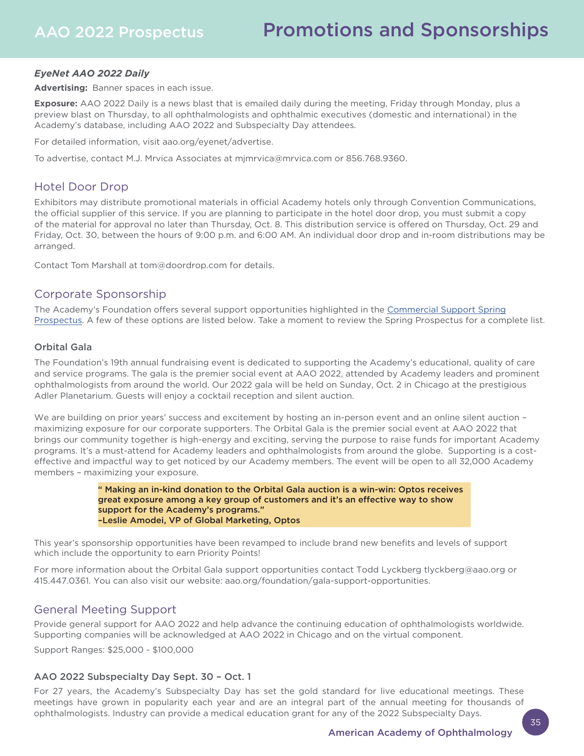## *EyeNet AAO 2022 Daily*

**Advertising:** Banner spaces in each issue.

**Exposure:** AAO 2022 Daily is a news blast that is emailed daily during the meeting, Friday through Monday, plus a preview blast on Thursday, to all ophthalmologists and ophthalmic executives (domestic and international) in the Academy's database, including AAO 2022 and Subspecialty Day attendees.

For detailed information, visit aao.org/eyenet/advertise.

To advertise, contact M.J. Mrvica Associates at mjmrvica@mrvica.com or 856.768.9360.

## Hotel Door Drop

Exhibitors may distribute promotional materials in official Academy hotels only through Convention Communications, the official supplier of this service. If you are planning to participate in the hotel door drop, you must submit a copy of the material for approval no later than Thursday, Oct. 8. This distribution service is offered on Thursday, Oct. 29 and Friday, Oct. 30, between the hours of 9:00 p.m. and 6:00 AM. An individual door drop and in-room distributions may be arranged.

Contact Tom Marshall at tom@doordrop.com for details.

## Corporate Sponsorship

[The Academy's Foundation offers several support opportunities highlighted in the Commercial Support Spring](https://www.aao.org/Assets/ede21c9a-f887-4c6b-ab8e-0f14c0c93ac5/637837290734430000/2022-spring-prospectus-pdf?inline=1)  Prospectus. A few of these options are listed below. Take a moment to review the Spring Prospectus for a complete list.

## Orbital Gala

The Foundation's 19th annual fundraising event is dedicated to supporting the Academy's educational, quality of care and service programs. The gala is the premier social event at AAO 2022, attended by Academy leaders and prominent ophthalmologists from around the world. Our 2022 gala will be held on Sunday, Oct. 2 in Chicago at the prestigious Adler Planetarium. Guests will enjoy a cocktail reception and silent auction.

We are building on prior years' success and excitement by hosting an in-person event and an online silent auction – maximizing exposure for our corporate supporters. The Orbital Gala is the premier social event at AAO 2022 that brings our community together is high-energy and exciting, serving the purpose to raise funds for important Academy programs. It's a must-attend for Academy leaders and ophthalmologists from around the globe. Supporting is a costeffective and impactful way to get noticed by our Academy members. The event will be open to all 32,000 Academy members – maximizing your exposure.

> " Making an in-kind donation to the Orbital Gala auction is a win-win: Optos receives great exposure among a key group of customers and it's an effective way to show support for the Academy's programs." –Leslie Amodei, VP of Global Marketing, Optos

This year's sponsorship opportunities have been revamped to include brand new benefits and levels of support which include the opportunity to earn Priority Points!

For more information about the Orbital Gala support opportunities contact Todd Lyckberg tlyckberg@aao.org or 415.447.0361. You can also visit our website: aao.org/foundation/gala-support-opportunities.

## General Meeting Support

Provide general support for AAO 2022 and help advance the continuing education of ophthalmologists worldwide. Supporting companies will be acknowledged at AAO 2022 in Chicago and on the virtual component.

Support Ranges: \$25,000 - \$100,000

## AAO 2022 Subspecialty Day Sept. 30 – Oct. 1

For 27 years, the Academy's Subspecialty Day has set the gold standard for live educational meetings. These meetings have grown in popularity each year and are an integral part of the annual meeting for thousands of ophthalmologists. Industry can provide a medical education grant for any of the 2022 Subspecialty Days.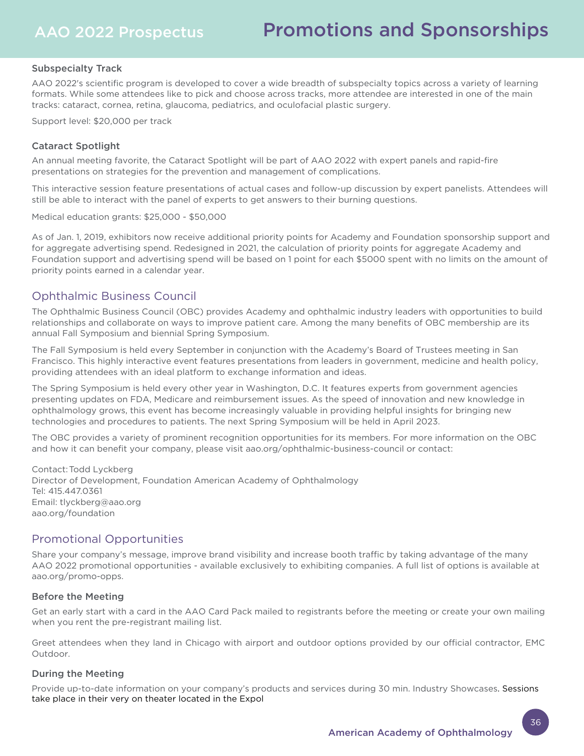### Subspecialty Track

AAO 2022's scientific program is developed to cover a wide breadth of subspecialty topics across a variety of learning formats. While some attendees like to pick and choose across tracks, more attendee are interested in one of the main tracks: cataract, cornea, retina, glaucoma, pediatrics, and oculofacial plastic surgery.

Support level: \$20,000 per track

#### Cataract Spotlight

An annual meeting favorite, the Cataract Spotlight will be part of AAO 2022 with expert panels and rapid-fire presentations on strategies for the prevention and management of complications.

This interactive session feature presentations of actual cases and follow-up discussion by expert panelists. Attendees will still be able to interact with the panel of experts to get answers to their burning questions.

Medical education grants: \$25,000 - \$50,000

As of Jan. 1, 2019, exhibitors now receive additional priority points for Academy and Foundation sponsorship support and for aggregate advertising spend. Redesigned in 2021, the calculation of priority points for aggregate Academy and Foundation support and advertising spend will be based on 1 point for each \$5000 spent with no limits on the amount of priority points earned in a calendar year.

## Ophthalmic Business Council

The Ophthalmic Business Council (OBC) provides Academy and ophthalmic industry leaders with opportunities to build relationships and collaborate on ways to improve patient care. Among the many benefits of OBC membership are its annual Fall Symposium and biennial Spring Symposium.

The Fall Symposium is held every September in conjunction with the Academy's Board of Trustees meeting in San Francisco. This highly interactive event features presentations from leaders in government, medicine and health policy, providing attendees with an ideal platform to exchange information and ideas.

The Spring Symposium is held every other year in Washington, D.C. It features experts from government agencies presenting updates on FDA, Medicare and reimbursement issues. As the speed of innovation and new knowledge in ophthalmology grows, this event has become increasingly valuable in providing helpful insights for bringing new technologies and procedures to patients. The next Spring Symposium will be held in April 2023.

The OBC provides a variety of prominent recognition opportunities for its members. For more information on the OBC and how it can benefit your company, please visit aao.org/ophthalmic-business-council or contact:

Contact: Todd Lyckberg Director of Development, Foundation American Academy of Ophthalmology Tel: 415.447.0361 Email: tlyckberg@aao.org aao.org/foundation

## Promotional Opportunities

Share your company's message, improve brand visibility and increase booth traffic by taking advantage of the many AAO 2022 promotional opportunities - available exclusively to exhibiting companies. A full list of options is available at aao.org/promo-opps.

#### Before the Meeting

Get an early start with a card in the AAO Card Pack mailed to registrants before the meeting or create your own mailing when you rent the pre-registrant mailing list.

Greet attendees when they land in Chicago with airport and outdoor options provided by our official contractor, EMC Outdoor.

#### During the Meeting

Provide up-to-date information on your company's products and services during 30 min. Industry Showcases. Sessions take place in their very on theater located in the Expol